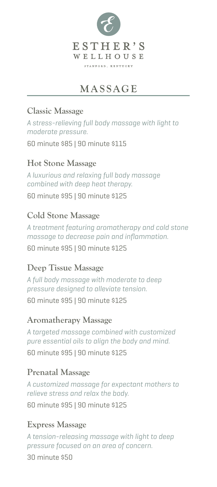

# **MASSAGE**

#### **Classic Massage**

*A stress-relieving full body massage with light to moderate pressure.*

60 minute \$85 | 90 minute \$115

#### **Hot Stone Massage**

*A luxurious and relaxing full body massage combined with deep heat therapy.*

60 minute \$95 | 90 minute \$125

#### **Cold Stone Massage**

*A treatment featuring aromatherapy and cold stone massage to decrease pain and inflammation.* 60 minute \$95 | 90 minute \$125

#### **Deep Tissue Massage**

*A full body massage with moderate to deep pressure designed to alleviate tension.*

60 minute \$95 | 90 minute \$125

#### **Aromatherapy Massage**

*A targeted massage combined with customized pure essential oils to align the body and mind.* 60 minute \$95 | 90 minute \$125

### **Prenatal Massage**

*A customized massage for expectant mothers to relieve stress and relax the body.* 60 minute \$95 | 90 minute \$125

## **Express Massage**

*A tension-releasing massage with light to deep pressure focused on an area of concern.*

30 minute \$50